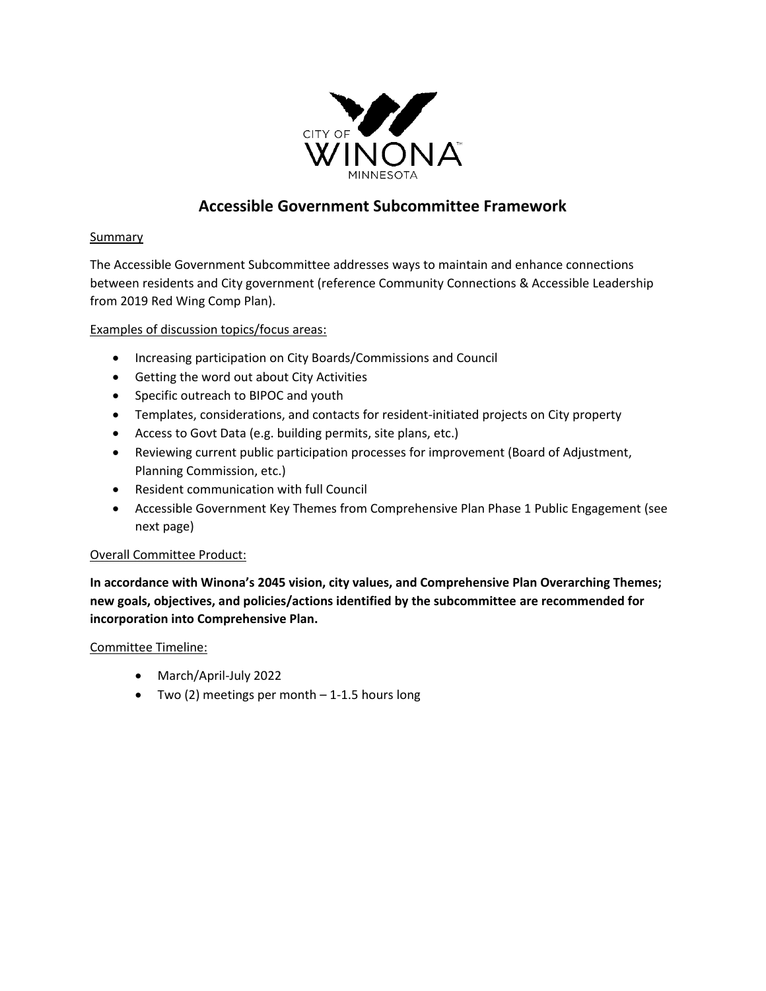

# **Accessible Government Subcommittee Framework**

## **Summary**

The Accessible Government Subcommittee addresses ways to maintain and enhance connections between residents and City government (reference Community Connections & Accessible Leadership from 2019 Red Wing Comp Plan).

Examples of discussion topics/focus areas:

- Increasing participation on City Boards/Commissions and Council
- Getting the word out about City Activities
- Specific outreach to BIPOC and youth
- Templates, considerations, and contacts for resident-initiated projects on City property
- Access to Govt Data (e.g. building permits, site plans, etc.)
- Reviewing current public participation processes for improvement (Board of Adjustment, Planning Commission, etc.)
- Resident communication with full Council
- Accessible Government Key Themes from Comprehensive Plan Phase 1 Public Engagement (see next page)

## Overall Committee Product:

**In accordance with Winona's 2045 vision, city values, and Comprehensive Plan Overarching Themes; new goals, objectives, and policies/actions identified by the subcommittee are recommended for incorporation into Comprehensive Plan.** 

Committee Timeline:

- March/April-July 2022
- Two (2) meetings per month 1-1.5 hours long